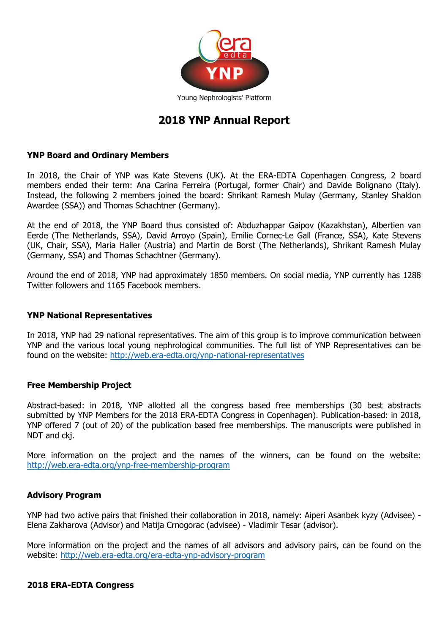

# **2018 YNP Annual Report**

#### **YNP Board and Ordinary Members**

In 2018, the Chair of YNP was Kate Stevens (UK). At the ERA-EDTA Copenhagen Congress, 2 board members ended their term: Ana Carina Ferreira (Portugal, former Chair) and Davide Bolignano (Italy). Instead, the following 2 members joined the board: Shrikant Ramesh Mulay (Germany, Stanley Shaldon Awardee (SSA)) and Thomas Schachtner (Germany).

At the end of 2018, the YNP Board thus consisted of: Abduzhappar Gaipov (Kazakhstan), Albertien van Eerde (The Netherlands, SSA), David Arroyo (Spain), Emilie Cornec-Le Gall (France, SSA), Kate Stevens (UK, Chair, SSA), Maria Haller (Austria) and Martin de Borst (The Netherlands), Shrikant Ramesh Mulay (Germany, SSA) and Thomas Schachtner (Germany).

Around the end of 2018, YNP had approximately 1850 members. On social media, YNP currently has 1288 Twitter followers and 1165 Facebook members.

#### **YNP National Representatives**

In 2018, YNP had 29 national representatives. The aim of this group is to improve communication between YNP and the various local young nephrological communities. The full list of YNP Representatives can be found on the website:<http://web.era-edta.org/ynp-national-representatives>

#### **Free Membership Project**

Abstract-based: in 2018, YNP allotted all the congress based free memberships (30 best abstracts submitted by YNP Members for the 2018 ERA-EDTA Congress in Copenhagen). Publication-based: in 2018, YNP offered 7 (out of 20) of the publication based free memberships. The manuscripts were published in NDT and ckj.

More information on the project and the names of the winners, can be found on the website: <http://web.era-edta.org/ynp-free-membership-program>

## **Advisory Program**

YNP had two active pairs that finished their collaboration in 2018, namely: Aiperi Asanbek kyzy (Advisee) - Elena Zakharova (Advisor) and Matija Crnogorac (advisee) - Vladimir Tesar (advisor).

More information on the project and the names of all advisors and advisory pairs, can be found on the website:<http://web.era-edta.org/era-edta-ynp-advisory-program>

#### **2018 ERA-EDTA Congress**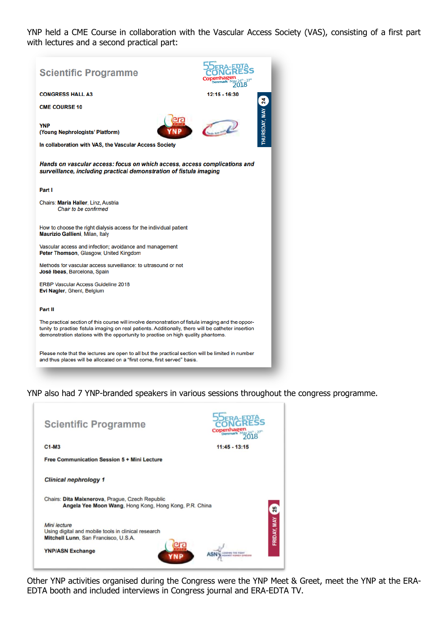YNP held a CME Course in collaboration with the Vascular Access Society (VAS), consisting of a first part with lectures and a second practical part:



YNP also had 7 YNP-branded speakers in various sessions throughout the congress programme.

| <b>Scientific Programme</b>                                                                                 | Denmark May 24" - 27"<br><b>018</b> |
|-------------------------------------------------------------------------------------------------------------|-------------------------------------|
| $C1-M3$                                                                                                     | $11:45 - 13:15$                     |
| <b>Free Communication Session 5 + Mini Lecture</b>                                                          |                                     |
| <b>Clinical nephrology 1</b>                                                                                |                                     |
| Chairs: Dita Maixnerova, Prague, Czech Republic<br>Angela Yee Moon Wang, Hong Kong, Hong Kong, P.R. China   | 25                                  |
| Mini lecture<br>Using digital and mobile tools in clinical research<br>Mitchell Lunn, San Francisco, U.S.A. | FRIDAY, MAY                         |
| <b>YNP/ASN Exchange</b><br>YNP                                                                              |                                     |

Other YNP activities organised during the Congress were the YNP Meet & Greet, meet the YNP at the ERA-EDTA booth and included interviews in Congress journal and ERA-EDTA TV.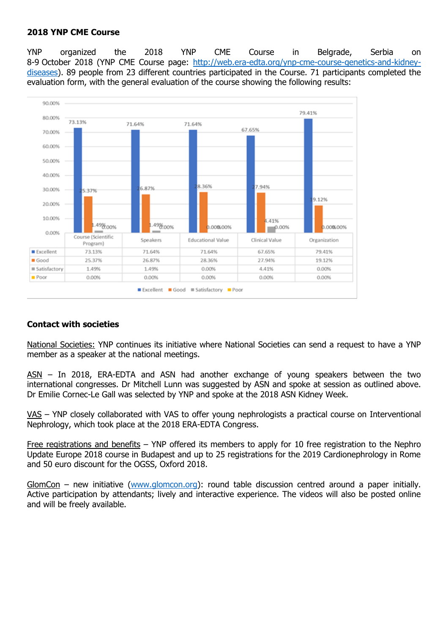#### **2018 YNP CME Course**

YNP organized the 2018 YNP CME Course in Belgrade, Serbia on 8-9 October 2018 (YNP CME Course page: [http://web.era-edta.org/ynp-cme-course-genetics-and-kidney](http://web.era-edta.org/ynp-cme-course-genetics-and-kidney-diseases)[diseases\)](http://web.era-edta.org/ynp-cme-course-genetics-and-kidney-diseases). 89 people from 23 different countries participated in the Course. 71 participants completed the evaluation form, with the general evaluation of the course showing the following results:



## **Contact with societies**

National Societies: YNP continues its initiative where National Societies can send a request to have a YNP member as a speaker at the national meetings.

ASN – In 2018, ERA-EDTA and ASN had another exchange of young speakers between the two international congresses. Dr Mitchell Lunn was suggested by ASN and spoke at session as outlined above. Dr Emilie Cornec-Le Gall was selected by YNP and spoke at the 2018 ASN Kidney Week.

VAS – YNP closely collaborated with VAS to offer young nephrologists a practical course on Interventional Nephrology, which took place at the 2018 ERA-EDTA Congress.

Free registrations and benefits – YNP offered its members to apply for 10 free registration to the Nephro Update Europe 2018 course in Budapest and up to 25 registrations for the 2019 Cardionephrology in Rome and 50 euro discount for the OGSS, Oxford 2018.

GlomCon – new initiative [\(www.glomcon.org\)](http://www.glomcon.org/): round table discussion centred around a paper initially. Active participation by attendants; lively and interactive experience. The videos will also be posted online and will be freely available.